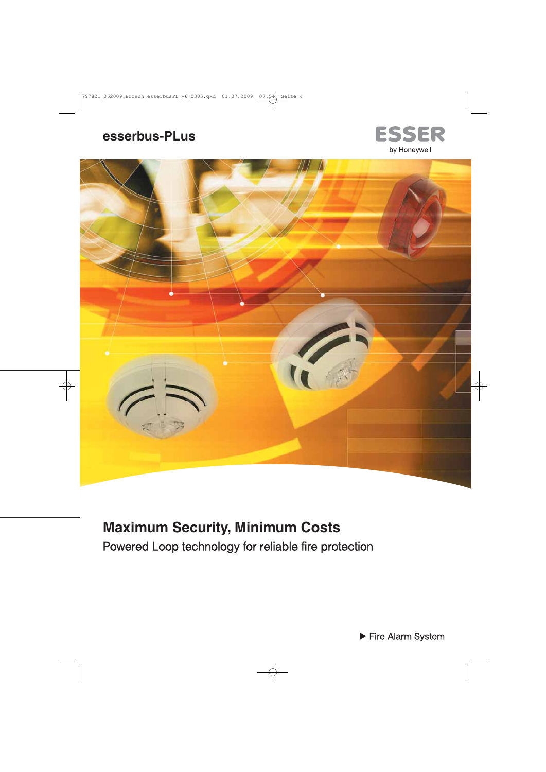# esserbus-PLus





# **Maximum Security, Minimum Costs**

Powered Loop technology for reliable fire protection

Fire Alarm System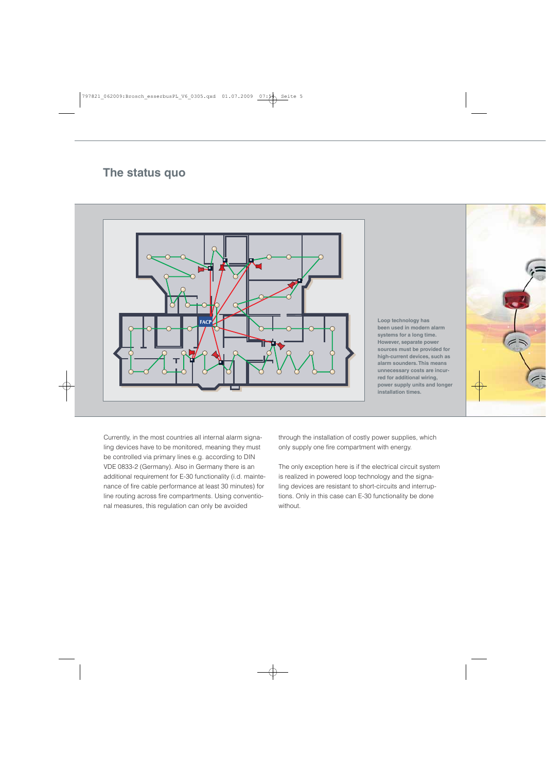## **The status quo**



**Loop technology has been used in modern alarm systems for a long time. However, separate power sources must be provided for high-current devices, such as alarm sounders. This means unnecessary costs are incurred for additional wiring, power supply units and longer installation times.**

Currently, in the most countries all internal alarm signaling devices have to be monitored, meaning they must be controlled via primary lines e.g. according to DIN VDE 0833-2 (Germany). Also in Germany there is an additional requirement for E-30 functionality (i.d. maintenance of fire cable performance at least 30 minutes) for line routing across fire compartments. Using conventional measures, this regulation can only be avoided

through the installation of costly power supplies, which only supply one fire compartment with energy.

The only exception here is if the electrical circuit system is realized in powered loop technology and the signaling devices are resistant to short-circuits and interruptions. Only in this case can E-30 functionality be done without.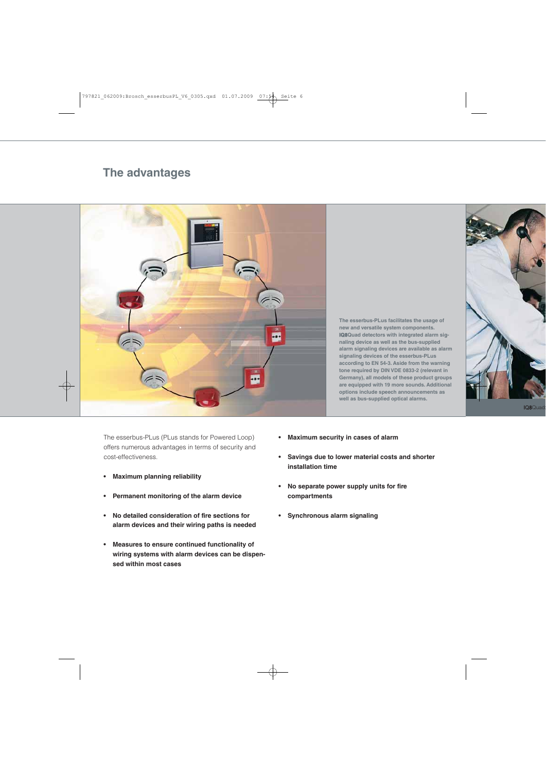## **The advantages**



**The esserbus-PLus facilitates the usage of new and versatile system components. IQ8Quad detectors with integrated alarm signaling device as well as the bus-supplied alarm signaling devices are available as alarm signaling devices of the esserbus-PLus according to EN 54-3. Aside from the warning tone required by DIN VDE 0833-2 (relevant in Germany), all models of these product groups are equipped with 19 more sounds. Additional options include speech announcements as well as bus-supplied optical alarms.**

The esserbus-PLus (PLus stands for Powered Loop) offers numerous advantages in terms of security and cost-effectiveness.

- **Maximum planning reliability**
- **Permanent monitoring of the alarm device**
- **No detailed consideration of fire sections for alarm devices and their wiring paths is needed**
- **Measures to ensure continued functionality of wiring systems with alarm devices can be dispensed within most cases**
- **Maximum security in cases of alarm**
- **Savings due to lower material costs and shorter installation time**
- **No separate power supply units for fire compartments**
- **Synchronous alarm signaling**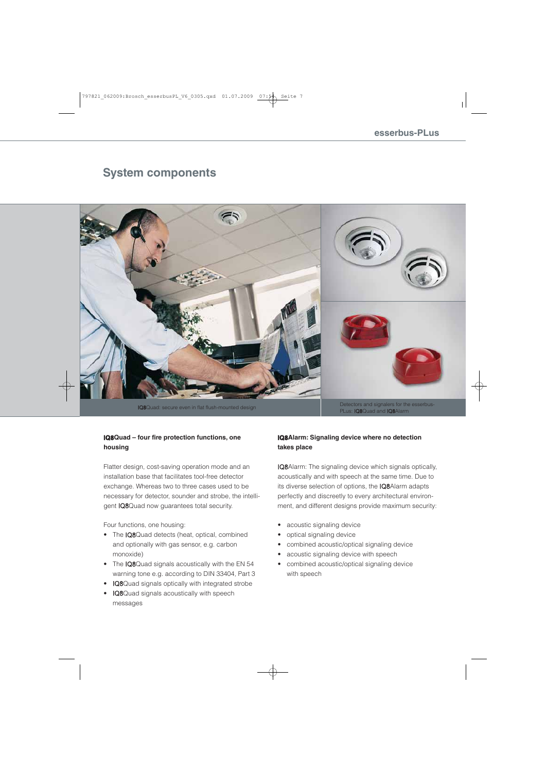### **System components**



PLus: IQ8Quad and IQ8Alarm

### **IQ8Quad – four fire protection functions, one housing**

Flatter design, cost-saving operation mode and an installation base that facilitates tool-free detector exchange. Whereas two to three cases used to be necessary for detector, sounder and strobe, the intelligent IQ8Quad now guarantees total security.

Four functions, one housing:

- The IQ8Quad detects (heat, optical, combined and optionally with gas sensor, e.g. carbon monoxide)
- The IQ8Quad signals acoustically with the EN 54 warning tone e.g. according to DIN 33404, Part 3
- IQ8Quad signals optically with integrated strobe
- IQ8Quad signals acoustically with speech messages

### **IQ8Alarm: Signaling device where no detection takes place**

IQ8Alarm: The signaling device which signals optically, acoustically and with speech at the same time. Due to its diverse selection of options, the IQ8Alarm adapts perfectly and discreetly to every architectural environment, and different designs provide maximum security:

- acoustic signaling device
- optical signaling device
- combined acoustic/optical signaling device
- acoustic signaling device with speech
- combined acoustic/optical signaling device with speech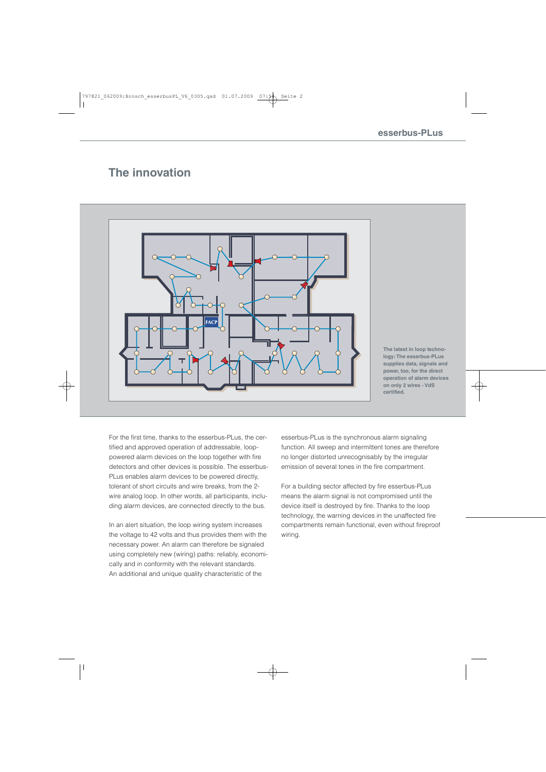### **The innovation**



**The latest in loop technology: The esserbus-PLus supplies data, signals and power, too, for the direct operation of alarm devices on only 2 wires - VdS certified.**

For the first time, thanks to the esserbus-PLus, the certified and approved operation of addressable, looppowered alarm devices on the loop together with fire detectors and other devices is possible. The esserbus-PLus enables alarm devices to be powered directly, tolerant of short circuits and wire breaks, from the 2 wire analog loop. In other words, all participants, including alarm devices, are connected directly to the bus.

In an alert situation, the loop wiring system increases the voltage to 42 volts and thus provides them with the necessary power. An alarm can therefore be signaled using completely new (wiring) paths: reliably, economically and in conformity with the relevant standards. An additional and unique quality characteristic of the

esserbus-PLus is the synchronous alarm signaling function. All sweep and intermittent tones are therefore no longer distorted unrecognisably by the irregular emission of several tones in the fire compartment.

For a building sector affected by fire esserbus-PLus means the alarm signal is not compromised until the device itself is destroyed by fire. Thanks to the loop technology, the warning devices in the unaffected fire compartments remain functional, even without fireproof wiring.